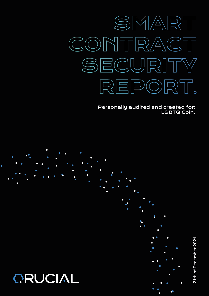

Personally audited and created for: **LGBTQ Coin.** 



21th of December 2021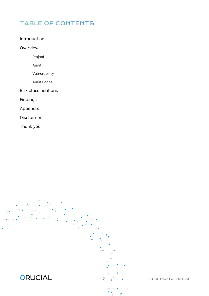# TABLE OF CONTENTS

Introduction

Overview

Project

Audit

Vulnerability

Audit Scope

Risk classifications

Findings

Appendix

Disclaimer

Thank you

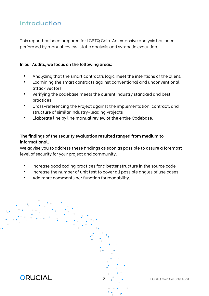# Introduction

This report has been prepared for LGBTQ Coin. An extensive analysis has been performed by manual review, static analysis and symbolic execution.

#### **In our Audits, we focus on the following areas:**

- Analyzing that the smart contract's logic meet the intentions of the client.
- Examining the smart contracts against conventional and unconventional attack vectors
- Verifying the codebase meets the current Industry standard and best practices
- Cross-referencing the Project against the implementation, contract, and structure of similar Industry-leading Projects
- Elaborate line by line manual review of the entire Codebase.

## **The findings of the security evaluation resulted ranged from medium to informational.**

We advise you to address these findings as soon as possible to assure a foremost level of security for your project and community.

- Increase good coding practices for a better structure in the source code
- Increase the number of unit test to cover all possible angles of use cases
- Add more comments per function for readability.

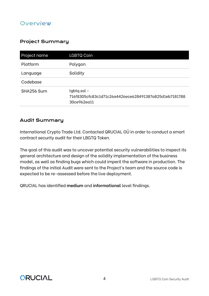## **Overview**

## Project Summary

| Project name | <b>LGBTQ Coin</b>                                                                   |  |
|--------------|-------------------------------------------------------------------------------------|--|
| Platform     | Polygon                                                                             |  |
| Language     | Solidity                                                                            |  |
| Codebase     |                                                                                     |  |
| SHA256 Sum   | lgbtq.sol -<br>716f8305cfc83c1d71c26g4426ece628491387g825d1eb7181788<br>30ce962ea11 |  |

### Audit Summary

International Crypto Trade Ltd. Contacted QRUCIAL OÜ in order to conduct a smart contract security audit for their LBGTQ Token.

The goal of this audit was to uncover potential security vulnerabilities to inspect its general architecture and design of the solidity implementation of the business model, as well as finding bugs which could imperil the software in production. The findings of the initial Audit were sent to the Project's team and the source code is expected to be re-assessed before the live deployment.

QRUCIAL has identified **medium** and **informational** level findings.

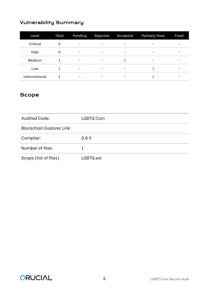## Vulnerability Summary

| Level         | Total | Pending                  | Rejected | Accepted                     | <b>Partially fixed</b> | Fixed                    |
|---------------|-------|--------------------------|----------|------------------------------|------------------------|--------------------------|
| Critical      | 0     | -                        | -        | -                            |                        | $\overline{\phantom{0}}$ |
| High          | 0     | $\overline{\phantom{0}}$ | -        | -                            |                        |                          |
| Medium        |       | $\overline{\phantom{a}}$ | -        |                              |                        | -                        |
| Low           |       | -                        | -        | $\qquad \qquad \blacksquare$ |                        | -                        |
| Informational |       | -                        |          | -                            |                        |                          |

## Scope

| Audited Code:                    | <b>LGBTQ Coin</b> |  |  |  |
|----------------------------------|-------------------|--|--|--|
| <b>Blockchain Explorer Link:</b> |                   |  |  |  |
| Compiler:                        | 0.8.9             |  |  |  |
| Number of files:                 |                   |  |  |  |
| Scope (list of files)            | LGBTQ.sol         |  |  |  |

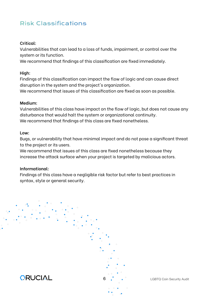# Risk Classifications

#### **Critical:**

Vulnerabilities that can lead to a loss of funds, impairment, or control over the system or its function.

We recommend that findings of this classification are fixed immediately.

#### **High:**

Findings of this classification can impact the flow of logic and can cause direct disruption in the system and the project's organization.

We recommend that issues of this classification are fixed as soon as possible.

#### **Medium:**

Vulnerabilities of this class have impact on the flow of logic, but does not cause any disturbance that would halt the system or organizational continuity. We recommend that findings of this class are fixed nonetheless.

#### **Low:**

Bugs, or vulnerability that have minimal impact and do not pose a significant threat to the project or its users.

We recommend that issues of this class are fixed nonetheless because they increase the attack surface when your project is targeted by malicious actors.

#### **Informational:**

Findings of this class have a negligible risk factor but refer to best practices in syntax, style or general security.

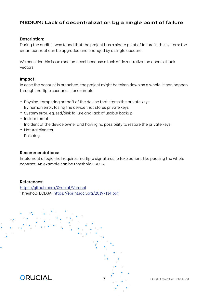## MEDIUM: Lack of decentralization by a single point of failure

#### **Description:**

During the audit, it was found that the project has a single point of failure in the system: the smart contract can be upgraded and changed by a single account.

We consider this issue medium level because a lack of dezentralization opens attack vectors.

#### **Impact:**

In case the account is breached, the project might be taken down as a whole. It can happen through multiple scenarios, for example:

- Physical tampering or theft of the device that stores the private keys
- By human error, losing the device that stores private keys
- System error, eg. ssd/disk failure and lack of usable backup
- Insider threat
- Incident of the device owner and having no possibility to restore the private keys
- Natural disaster
- Phishing

#### **Recommendations:**

Implement a logic that requires multiple signatures to take actions like pausing the whole contract. An example can be threshold ESCDA.

#### **References:**

htt[ps://github.com/Qrucial/Voronoi](https://github.com/Qrucial/Voronoi) Threshold ECDSA: htt[ps://eprint.iacr.org/2019/114.pdf](https://eprint.iacr.org/2019/114.pdf)

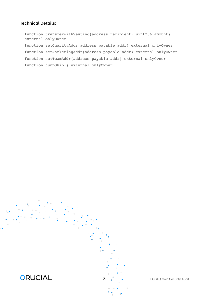#### **Technical Details:**

 function transferWithVesting(address recipient, uint256 amount) external onlyOwner function setCharityAddr(address payable addr) external onlyOwner function setMarketingAddr(address payable addr) external onlyOwner function setTeamAddr(address payable addr) external onlyOwner function jumpShip() external onlyOwner

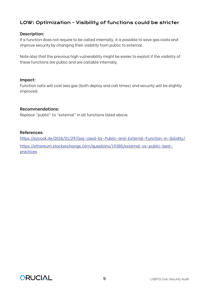## LOW: Optimization - Visibility of functions could be stricter

#### **Description:**

If a function does not require to be called internally, it is possible to save gas costs and improve security by changing their visibility from public to external.

Note also that the previous high vulnerability might be easier to exploit if the visibility of these functions are public and are callable internally.

#### **Impact:**

Function calls will cost less gas (both deploy and call times) and security will be slightly improved.

#### **Recommendations:**

Replace "public" to "external" in all functions listed above.

#### **References:**

htt[ps://ezcook.de/2018/01/29/Gas-Used-by-Public-and-External-Function-in-Solidity/](https://ezcook.de/2018/01/29/Gas-Used-by-Public-and-External-Function-in-Solidity/) htt[ps://ethereum.stackexchange.com/questions/19380/external-vs-public-best](https://ethereum.stackexchange.com/questions/19380/external-vs-public-best-practices)[practices](https://ethereum.stackexchange.com/questions/19380/external-vs-public-best-practices)

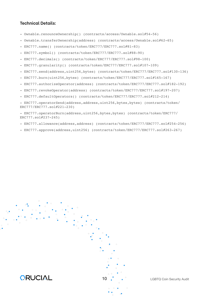#### **Technical Details:**

- Ownable.renounceOwnership() (contracts/access/Ownable.sol#54-56)
- Ownable.transferOwnership(address) (contracts/access/Ownable.sol#62-65)
- ERC777.name() (contracts/token/ERC777/ERC777.sol#81-83)
- ERC777.symbol() (contracts/token/ERC777/ERC777.sol#88-90)
- ERC777.decimals() (contracts/token/ERC777/ERC777.sol#98-100)
- ERC777.granularity() (contracts/token/ERC777/ERC777.sol#107-109)
- ERC777.send(address,uint256,bytes) (contracts/token/ERC777/ERC777.sol#130-136)
- ERC777.burn(uint256,bytes) (contracts/token/ERC777/ERC777.sol#165-167)
- ERC777.authorizeOperator(address) (contracts/token/ERC777/ERC777.sol#182-192)
- ERC777.revokeOperator(address) (contracts/token/ERC777/ERC777.sol#197-207)
- ERC777.defaultOperators() (contracts/token/ERC777/ERC777.sol#212-214)

- ERC777.operatorSend(address,address,uint256,bytes,bytes) (contracts/token/ ERC777/ERC777.sol#221-230)

- ERC777.operatorBurn(address,uint256,bytes,bytes) (contracts/token/ERC777/ ERC777.sol#237-245)

- ERC777.allowance(address,address) (contracts/token/ERC777/ERC777.sol#254-256)
- ERC777.approve(address,uint256) (contracts/token/ERC777/ERC777.sol#263-267)

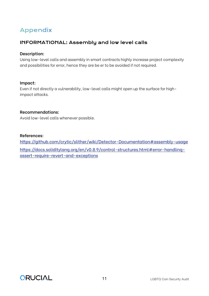# Appendix

## INFORMATIONAL: Assembly and low level calls

#### **Description:**

Using low-level calls and assembly in smart contracts highly increase project complexity and possibilities for error, hence they are be er to be avoided if not required.

#### **Impact:**

Even if not directly a vulnerability, low-level calls might open up the surface for highimpact attacks.

#### **Recommendations:**

Avoid low-level calls whenever possible.

#### **References:**

htt[ps://github.com/crytic/slither/wiki/Detector-Documentation#assembly-usage](https://github.com/crytic/slither/wiki/Detector-Documentation#assembly-usage) htt[ps://docs.soliditylang.org/en/v0.8.9/control-structures.html#error-handling](https://docs.soliditylang.org/en/v0.8.9/control-structures.html#error-handling-assert-require-revert-and-exceptions)[assert-require-revert-and-exceptions](https://docs.soliditylang.org/en/v0.8.9/control-structures.html#error-handling-assert-require-revert-and-exceptions)

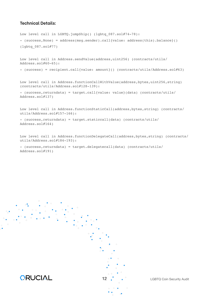#### **Technical Details:**

```
Low level call in LGBTQ.jumpShip() (lgbtq 087.sol#74-78):
- (success,None) = address(msg.sender).call{value: address(this).balance}()
(lgbtq_087.sol#77)
Low level call in Address.sendValue(address,uint256) (contracts/utils/
Address.sol#60-65):
- (success) = recipient.call{value: amount}() (contracts/utils/Address.sol#63)
Low level call in Address.functionCallWithValue(address, bytes, uint256, string)
(contracts/utils/Address.sol#128-139):
- (success,returndata) = target.call{value: value}(data) (contracts/utils/
Address.sol#137)
Low level call in Address.functionStaticCall(address, bytes, string) (contracts/
utils/Address.sol#157-166):
- (success,returndata) = target.staticcall(data) (contracts/utils/
Address.sol#164)
Low level call in Address.functionDelegateCall(address, bytes, string) (contracts/
```
utils/Address.sol#184-193): - (success,returndata) = target.delegatecall(data) (contracts/utils/ Address.sol#191)

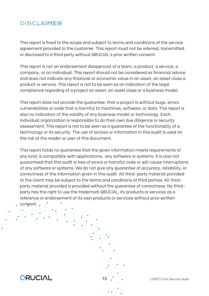# DISCLAIMER

This report is fixed to the scope and subject to terms and conditions of the service agreement provided to the customer. This report must not be referred, transmitted or disclosed to a third party without QRUCIAL's prior written consent.

This report is not an endorsement disapproval of a team, a product, a service, a company, or an individual. This report should not be considered as financial advice and does not indicate any financial or economic value in an asset, an asset class a product or service. This report is not to be seen as an indication of the legal compliance regarding of a project an asset, an asset class or a business model.

This report does not provide the guarantee, that a project is without bugs, errors vulnerabilities or code that is harmful to machines, software, or data. This report is also no indication of the validity of any business model or technology. Each individual organization is responsible to do their own due diligence or security assessment. This report is not to be seen as a guarantee of the functionality of a technology or its security. The use of access or information in this audit is used on the risk of the reader or user of this document.

This report holds no guarantee that the given information meets requirements of any kind, is compatible with applications, any software or systems. It is also not guaranteed that this audit is free of errors or harmful code or will cause interruptions of any software or systems. We do not give any guarantee of accuracy, reliability, or correctness of the information given in this audit. All third-party material provided to the client may be subject to the terms and conditions of third parties. All thirdparty material provided is provided without the guarantee of correctness. No thirdparty has the right to use the trademark QRUCIAL, its products or services as a reference or endorsement of its own products or services without prior written

consent.

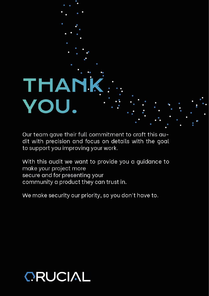# THANI VOU.

Our team gave their full commitment to craft this audit with precision and focus on details with the goal to support you improving your work.

With this audit we want to provide you a guidance to make your project more secure and for presenting your community a product they can trust in.

We make security our priority, so you don't have to.